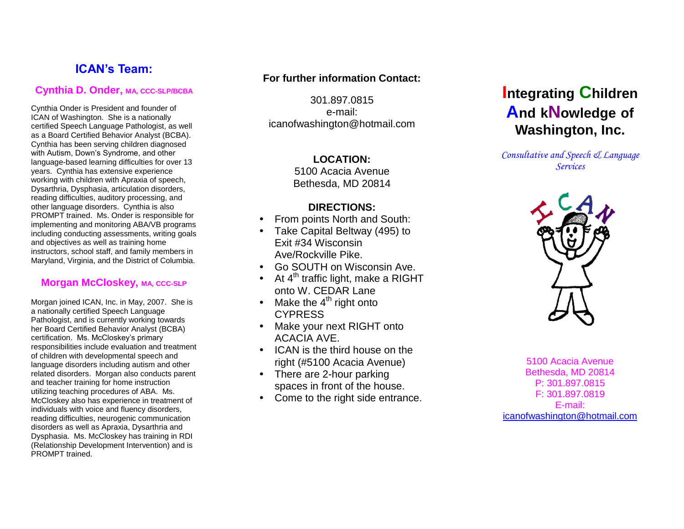## **ICAN's Team:**

## **Cynthia D. Onder, MA, CCC -SLP/BCBA**

Cynthia Onder is President and founder of ICAN of Washington. She is a nationally certified Speech Language Pathologist, as well as a Board Certified Behavior Analyst (BCBA). Cynthia has been serving children diagnosed with Autism, Down's Syndrome, and other language -based learning difficulties for over 13 years. Cynthia has extensive experience working with children with Apraxia of speech, Dysarthria, Dysphasia, articulation disorders, reading difficulties, auditory processing, and other language disorders. Cynthia is also PROMPT trained. Ms. Onder is responsible for implementing and monitoring ABA/VB programs including conducting assessments, writing goals and objectives as well as training home instructors, school staff, and family members in Maryland, Virginia, and the District of Columbia.

## **Morgan McCloskey, MA, CCC-SLP**

Morgan joined ICAN, Inc. in May, 2007. She is a nationally certified Speech Language Pathologist, and is currently working towards her Board Certified Behavior Analyst (BCBA) certification. Ms. McCloskey's primary responsibilities include evaluation and treatment of children with developmental speech and language disorders including autism and other related disorders. Morgan also conducts parent and teacher training for home instruction utilizing teaching procedures of ABA. Ms. McCloskey also has experience in treatment of individuals with voice and fluency disorders, reading difficulties, neurogenic communication disorders as well as Apraxia, Dysarthria and Dysphasia. Ms. McCloskey has training in RDI (Relationship Development Intervention) and is PROMPT trained.

## **For further information Contact:**

301.897.0815 e-mail: icanofwashington@hotmail.com

## **LOCATION:**

5100 Acacia Avenue Bethesda, MD 20814

## **DIRECTIONS:**

- From points North and South:
- Take Capital Beltway (495) to Exit #34 Wisconsin Ave/Rockville Pike.
- Go SOUTH on Wisconsin Ave.
- At  $4^{\text{th}}$  traffic light, make a RIGHT onto W. CEDAR Lane
- Make the  $4<sup>th</sup>$  right onto **CYPRESS**
- Make your next RIGHT onto ACACIA AVE.
- ICAN is the third house on the right (#5100 Acacia Avenue)
- There are 2-hour parking spaces in front of the house.
- Come to the right side entrance.

# **Integrating Children And k Nowledge of Washington, Inc.**

*Consultative and Speech & Language Services*



5100 Acacia Avenue Bethesda, MD 20814 P: 301.897.0815 F: 301.897.0819 E-mail: icanofwashington@hotmail.com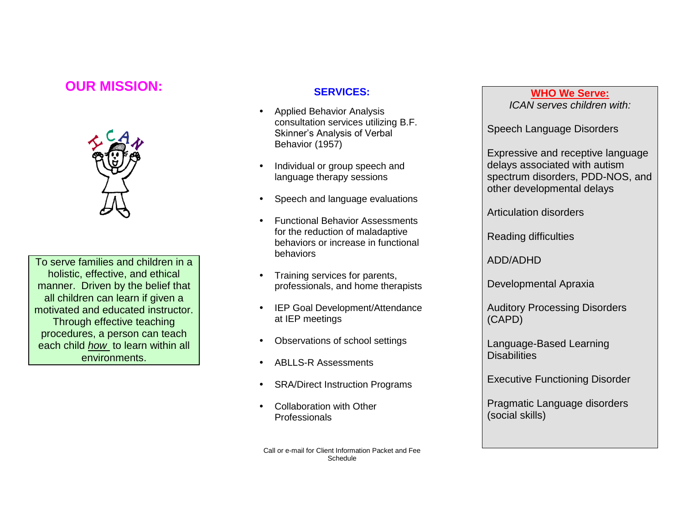## **OUR MISSION:**



To serve families and children in a holistic, effective, and ethical manner. Driven by the belief that all children can learn if given a motivated and educated instructor. Through effective teaching procedures, a person can teach each child *how* to learn within all environments.

## **SERVICES:**

- Applied Behavior Analysis consultation services utilizing B.F. Skinner's Analysis of Verbal Behavior (1957)
- Individual or group speech and language therapy sessions
- Speech and language evaluations
- Functional Behavior Assessments for the reduction of maladaptive behaviors or increase in functional behaviors
- Training services for parents, professionals, and home therapists
- IEP Goal Development/Attendance at IEP meetings
- Observations of school settings
- ABLLS-R Assessments
- SRA/Direct Instruction Programs
- Collaboration with Other Professionals

Call or e-mail for Client Information Packet and Fee Schedule

### **WHO We Serve:** *ICAN serves children with:*

Speech Language Disorders

Expressive and receptive language delays associated with autism spectrum disorders, PDD-NOS, and other developmental delays

Articulation disorders

Reading difficulties

ADD/ADHD

Developmental Apraxia

Auditory Processing Disorders (CAPD)

Language-Based Learning **Disabilities** 

Executive Functioning Disorder

Pragmatic Language disorders (social skills)